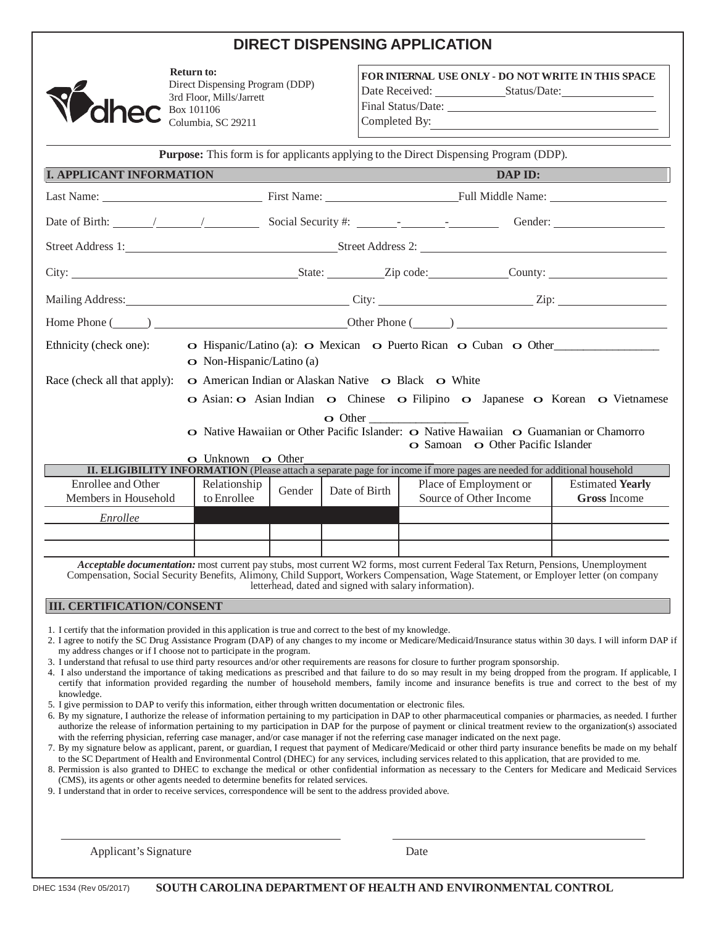# **DIRECT DISPENSING APPLICATION**



**Return to:** Direct Dispensing Program (DDP) 3rd Floor, Mills/Jarrett Box 101106 Columbia, SC 29211

Final Status/Date:

**FOR INTERNAL USE ONLY - DO NOT WRITE IN THIS SPACE** Date Received: Status/Date:

Completed By:

**Purpose:** This form is for applicants applying to the Direct Dispensing Program (DDP). **I. APPLICANT INFORMATION DAP ID:** Last Name: First Name: First Name: First Name: Full Middle Name: Date of Birth: / / Social Security #: - - Gender: Street Address 1: Street Address 2: City: City: City: City: Current County: City: County: County: County: County: County: County: County: County: County: County: County: County: County: County: County: County: County: County: County: County: County: County: Mailing Address: City: Zip: Home Phone ( ) Other Phone ( ) Ethnicity (check one): **o** Hispanic/Latino (a): **o** Mexican **o** Puerto Rican **o** Cuban **o** Other o Non-Hispanic/Latino (a) Race (check all that apply): o American Indian or Alaskan Native o Black o White o Asian: o Asian Indian o Chinese o Filipino o Japanese o Korean o Vietnamese o Other \_\_\_\_\_\_\_\_\_\_\_\_\_\_\_\_\_ o Native Hawaiian or Other Pacific Islander: o Native Hawaiian o Guamanian or Chamorro o Samoan o Other Pacific Islander o Unknown o Other **II. ELIGIBILITY INFORMATION** (Please attach a separate page for income if more pages are needed for additional household Enrollee and Other Members in Household Relationship Relationship Gender Date of Birth Place of Employment or<br>to Enrollee Gender Date of Birth Source of Other Income Estimated **Yearly Gross** Income *Enrollee Acceptable documentation:* most current pay stubs, most current W2 forms, most current Federal Tax Return, Pensions, Unemployment Compensation, Social Security Benefits, Alimony, Child Support, Workers Compensation, Wage Statement, or Employer letter (on company letterhead, dated and signed with salary information). **III. CERTIFICATION/CONSENT** 1. I certify that the information provided in this application is true and correct to the best of my knowledge. 2. I agree to notify the SC Drug Assistance Program (DAP) of any changes to my income or Medicare/Medicaid/Insurance status within 30 days. I will inform DAP if my address changes or if I choose not to participate in the program. 3. I understand that refusal to use third party resources and/or other requirements are reasons for closure to further program sponsorship. 4. I also understand the importance of taking medications as prescribed and that failure to do so may result in my being dropped from the program. If applicable, I certify that information provided regarding the number of household members, family income and insurance benefits is true and correct to the best of my knowledge. 5. I give permission to DAP to verify this information, either through written documentation or electronic files. 6. By my signature, I authorize the release of information pertaining to my participation in DAP to other pharmaceutical companies or pharmacies, as needed. I further authorize the release of information pertaining to my participation in DAP for the purpose of payment or clinical treatment review to the organization(s) associated with the referring physician, referring case manager, and/or case manager if not the referring case manager indicated on the next page. 7. By my signature below as applicant, parent, or guardian, I request that payment of Medicare/Medicaid or other third party insurance benefits be made on my behalf to the SC Department of Health and Environmental Control (DHEC) for any services, including services related to this application, that are provided to me. 8. Permission is also granted to DHEC to exchange the medical or other confidential information as necessary to the Centers for Medicare and Medicaid Services (CMS), its agents or other agents needed to determine benefits for related services. 9. I understand that in order to receive services, correspondence will be sent to the address provided above.

Applicant's Signature Date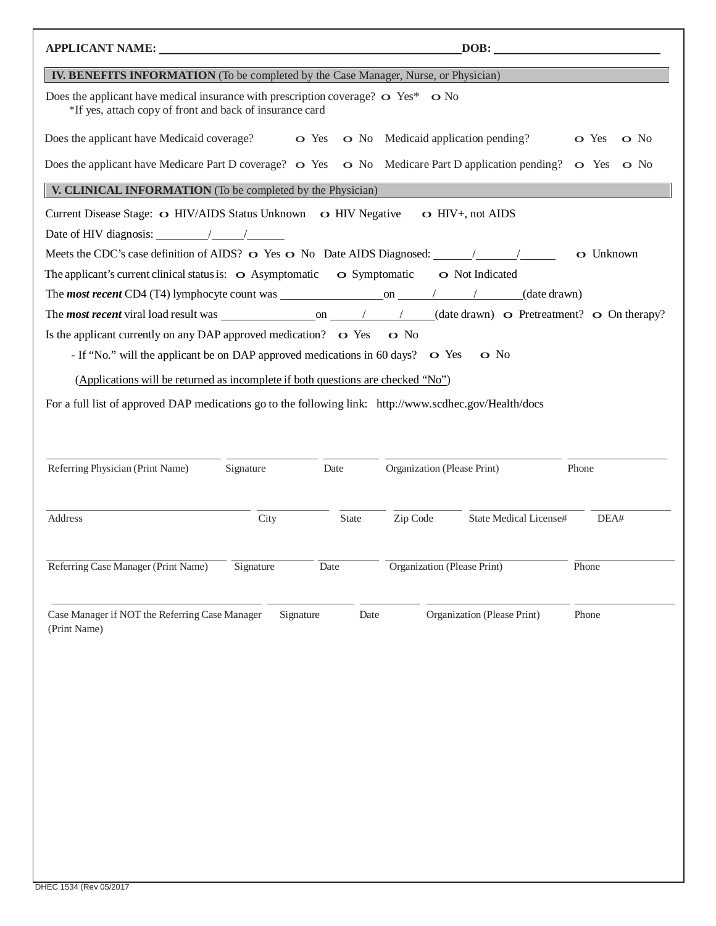| APPLICANT NAME: University of the contract of the contract of the contract of the contract of the contract of the contract of the contract of the contract of the contract of the contract of the contract of the contract of |           |              |                                    | DOB:                          |                   |  |
|-------------------------------------------------------------------------------------------------------------------------------------------------------------------------------------------------------------------------------|-----------|--------------|------------------------------------|-------------------------------|-------------------|--|
| <b>IV. BENEFITS INFORMATION</b> (To be completed by the Case Manager, Nurse, or Physician)                                                                                                                                    |           |              |                                    |                               |                   |  |
| Does the applicant have medical insurance with prescription coverage? $\sim$ Yes* $\sim$ No<br>*If yes, attach copy of front and back of insurance card                                                                       |           |              |                                    |                               |                   |  |
| Does the applicant have Medicaid coverage? $\bullet$ Yes $\bullet$ No Medicaid application pending?                                                                                                                           |           |              |                                    |                               | o Yes o No        |  |
| Does the applicant have Medicare Part D coverage? $\bullet$ Yes $\bullet$ No Medicare Part D application pending? $\bullet$ Yes $\bullet$ No                                                                                  |           |              |                                    |                               |                   |  |
| V. CLINICAL INFORMATION (To be completed by the Physician)                                                                                                                                                                    |           |              |                                    |                               |                   |  |
| Current Disease Stage: O HIV/AIDS Status Unknown O HIV Negative O HIV+, not AIDS                                                                                                                                              |           |              |                                    |                               |                   |  |
|                                                                                                                                                                                                                               |           |              |                                    |                               |                   |  |
|                                                                                                                                                                                                                               |           |              |                                    |                               | $\bullet$ Unknown |  |
| The applicant's current clinical status is: $\bullet$ Asymptomatic $\bullet$ Symptomatic $\bullet$ Not Indicated                                                                                                              |           |              |                                    |                               |                   |  |
|                                                                                                                                                                                                                               |           |              |                                    |                               |                   |  |
|                                                                                                                                                                                                                               |           |              |                                    |                               |                   |  |
| Is the applicant currently on any DAP approved medication? $\bullet$ Yes $\bullet$ No                                                                                                                                         |           |              |                                    |                               |                   |  |
| - If "No." will the applicant be on DAP approved medications in 60 days? • O Yes • O No                                                                                                                                       |           |              |                                    |                               |                   |  |
| (Applications will be returned as incomplete if both questions are checked "No")                                                                                                                                              |           |              |                                    |                               |                   |  |
| For a full list of approved DAP medications go to the following link: http://www.scdhec.gov/Health/docs                                                                                                                       |           |              |                                    |                               |                   |  |
| Referring Physician (Print Name)                                                                                                                                                                                              | Signature | Date         | Organization (Please Print)        |                               | Phone             |  |
| Address                                                                                                                                                                                                                       | City      | <b>State</b> | Zip Code                           | <b>State Medical License#</b> | DEA#              |  |
| Referring Case Manager (Print Name)                                                                                                                                                                                           | Signature | Date         | <b>Organization</b> (Please Print) |                               | Phone             |  |
| Case Manager if NOT the Referring Case Manager<br>(Print Name)                                                                                                                                                                | Signature | Date         |                                    | Organization (Please Print)   | Phone             |  |
|                                                                                                                                                                                                                               |           |              |                                    |                               |                   |  |
|                                                                                                                                                                                                                               |           |              |                                    |                               |                   |  |
|                                                                                                                                                                                                                               |           |              |                                    |                               |                   |  |
|                                                                                                                                                                                                                               |           |              |                                    |                               |                   |  |
|                                                                                                                                                                                                                               |           |              |                                    |                               |                   |  |
|                                                                                                                                                                                                                               |           |              |                                    |                               |                   |  |
|                                                                                                                                                                                                                               |           |              |                                    |                               |                   |  |
|                                                                                                                                                                                                                               |           |              |                                    |                               |                   |  |
|                                                                                                                                                                                                                               |           |              |                                    |                               |                   |  |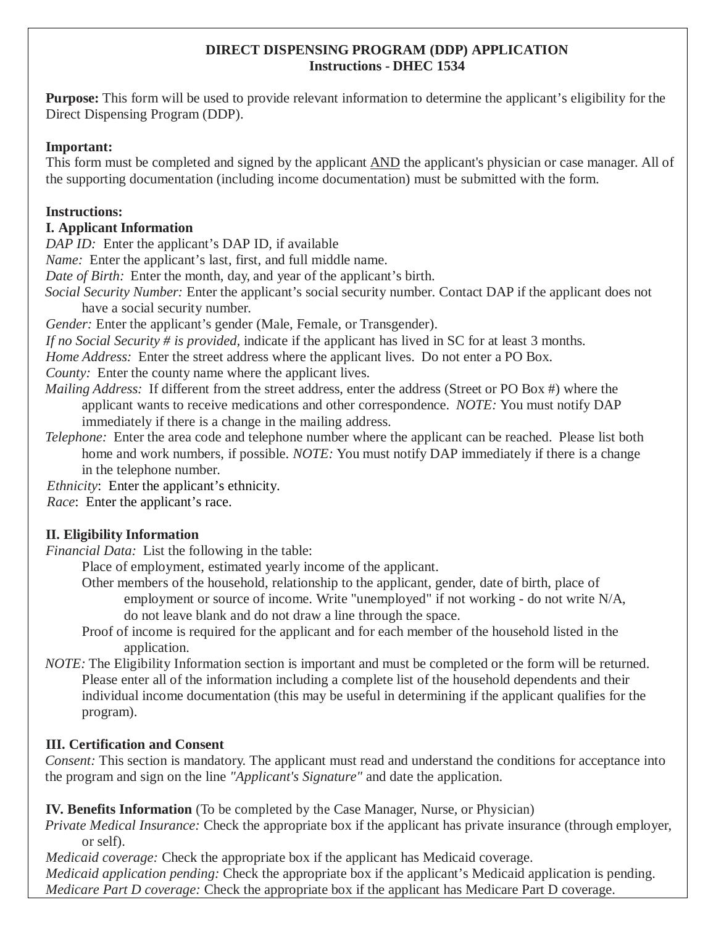#### **DIRECT DISPENSING PROGRAM (DDP) APPLICATION Instructions - DHEC 1534**

**Purpose:** This form will be used to provide relevant information to determine the applicant's eligibility for the Direct Dispensing Program (DDP).

#### **Important:**

This form must be completed and signed by the applicant AND the applicant's physician or case manager. All of the supporting documentation (including income documentation) must be submitted with the form.

# **Instructions:**

# **I. Applicant Information**

*DAP ID:* Enter the applicant's DAP ID, if available

*Name:* Enter the applicant's last, first, and full middle name.

*Date of Birth:* Enter the month, day, and year of the applicant's birth.

*Social Security Number:* Enter the applicant's social security number. Contact DAP if the applicant does not have a social security number.

*Gender:* Enter the applicant's gender (Male, Female, or Transgender).

*If no Social Security # is provided,* indicate if the applicant has lived in SC for at least 3 months.

*Home Address:* Enter the street address where the applicant lives. Do not enter a PO Box.

*County:* Enter the county name where the applicant lives.

*Mailing Address:* If different from the street address, enter the address (Street or PO Box #) where the applicant wants to receive medications and other correspondence. *NOTE:* You must notify DAP immediately if there is a change in the mailing address.

*Telephone:* Enter the area code and telephone number where the applicant can be reached. Please list both home and work numbers, if possible. *NOTE:* You must notify DAP immediately if there is a change in the telephone number.

*Ethnicity*:Enter the applicant's ethnicity.

*Race*: Enter the applicant's race.

# **II. Eligibility Information**

*Financial Data:* List the following in the table:

Place of employment, estimated yearly income of the applicant.

- Other members of the household, relationship to the applicant, gender, date of birth, place of employment or source of income. Write "unemployed" if not working - do not write N/A, do not leave blank and do not draw a line through the space.
- Proof of income is required for the applicant and for each member of the household listed in the application.
- *NOTE:* The Eligibility Information section is important and must be completed or the form will be returned. Please enter all of the information including a complete list of the household dependents and their individual income documentation (this may be useful in determining if the applicant qualifies for the program).

# **III. Certification and Consent**

*Consent:* This section is mandatory. The applicant must read and understand the conditions for acceptance into the program and sign on the line *"Applicant's Signature"* and date the application.

**IV. Benefits Information** (To be completed by the Case Manager, Nurse, or Physician)

*Private Medical Insurance:* Check the appropriate box if the applicant has private insurance (through employer, or self).

*Medicaid coverage:* Check the appropriate box if the applicant has Medicaid coverage.

*Medicaid application pending:* Check the appropriate box if the applicant's Medicaid application is pending. *Medicare Part D coverage:* Check the appropriate box if the applicant has Medicare Part D coverage.